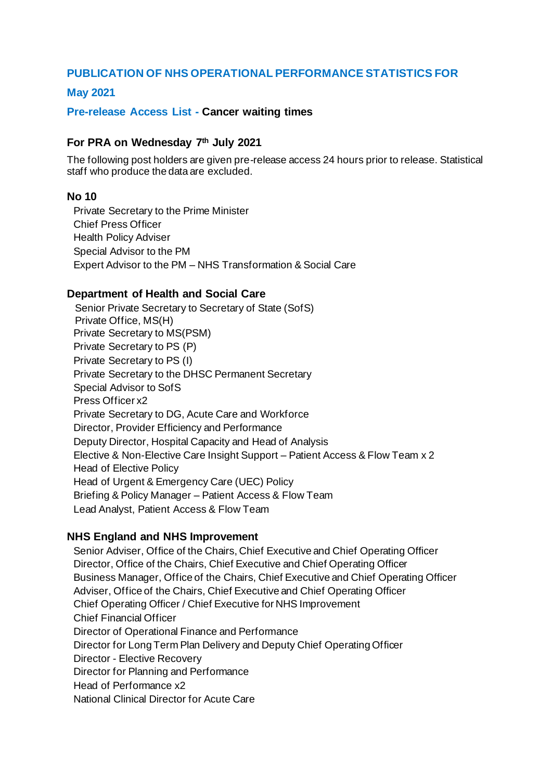# **PUBLICATION OF NHS OPERATIONAL PERFORMANCE STATISTICS FOR**

## **May 2021**

#### **Pre-release Access List - Cancer waiting times**

## **For PRA on Wednesday 7th July 2021**

The following post holders are given pre-release access 24 hours prior to release. Statistical staff who produce the data are excluded.

#### **No 10**

Private Secretary to the Prime Minister Chief Press Officer Health Policy Adviser Special Advisor to the PM Expert Advisor to the PM – NHS Transformation & Social Care

## **Department of Health and Social Care**

Senior Private Secretary to Secretary of State (SofS) Private Office, MS(H) Private Secretary to MS(PSM) Private Secretary to PS (P) Private Secretary to PS (I) Private Secretary to the DHSC Permanent Secretary Special Advisor to SofS Press Officer x2 Private Secretary to DG, Acute Care and Workforce Director, Provider Efficiency and Performance Deputy Director, Hospital Capacity and Head of Analysis Elective & Non-Elective Care Insight Support – Patient Access & Flow Team x 2 Head of Elective Policy Head of Urgent & Emergency Care (UEC) Policy Briefing & Policy Manager – Patient Access & Flow Team Lead Analyst, Patient Access & Flow Team

#### **NHS England and NHS Improvement**

Senior Adviser, Office of the Chairs, Chief Executive and Chief Operating Officer Director, Office of the Chairs, Chief Executive and Chief Operating Officer Business Manager, Office of the Chairs, Chief Executive and Chief Operating Officer Adviser, Office of the Chairs, Chief Executive and Chief Operating Officer Chief Operating Officer / Chief Executive for NHS Improvement Chief Financial Officer Director of Operational Finance and Performance Director for Long Term Plan Delivery and Deputy Chief Operating Officer Director - Elective Recovery Director for Planning and Performance Head of Performance x2 National Clinical Director for Acute Care